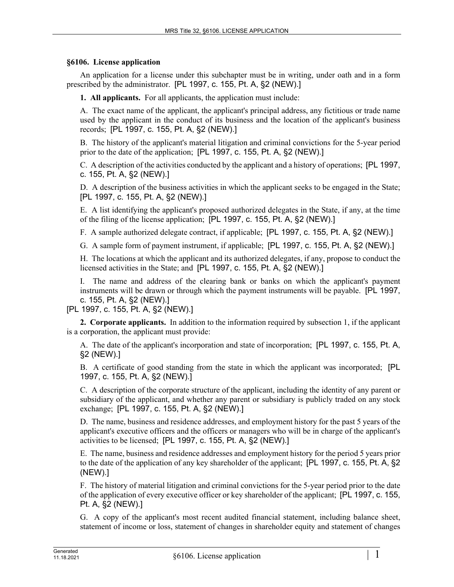## **§6106. License application**

An application for a license under this subchapter must be in writing, under oath and in a form prescribed by the administrator. [PL 1997, c. 155, Pt. A, §2 (NEW).]

**1. All applicants.** For all applicants, the application must include:

A. The exact name of the applicant, the applicant's principal address, any fictitious or trade name used by the applicant in the conduct of its business and the location of the applicant's business records; [PL 1997, c. 155, Pt. A, §2 (NEW).]

B. The history of the applicant's material litigation and criminal convictions for the 5-year period prior to the date of the application; [PL 1997, c. 155, Pt. A, §2 (NEW).]

C. A description of the activities conducted by the applicant and a history of operations; [PL 1997, c. 155, Pt. A, §2 (NEW).]

D. A description of the business activities in which the applicant seeks to be engaged in the State; [PL 1997, c. 155, Pt. A, §2 (NEW).]

E. A list identifying the applicant's proposed authorized delegates in the State, if any, at the time of the filing of the license application; [PL 1997, c. 155, Pt. A, §2 (NEW).]

F. A sample authorized delegate contract, if applicable; [PL 1997, c. 155, Pt. A, §2 (NEW).]

G. A sample form of payment instrument, if applicable; [PL 1997, c. 155, Pt. A, §2 (NEW).]

H. The locations at which the applicant and its authorized delegates, if any, propose to conduct the licensed activities in the State; and [PL 1997, c. 155, Pt. A, §2 (NEW).]

I. The name and address of the clearing bank or banks on which the applicant's payment instruments will be drawn or through which the payment instruments will be payable. [PL 1997, c. 155, Pt. A, §2 (NEW).]

[PL 1997, c. 155, Pt. A, §2 (NEW).]

**2. Corporate applicants.** In addition to the information required by subsection 1, if the applicant is a corporation, the applicant must provide:

A. The date of the applicant's incorporation and state of incorporation; [PL 1997, c. 155, Pt. A, §2 (NEW).]

B. A certificate of good standing from the state in which the applicant was incorporated; [PL 1997, c. 155, Pt. A, §2 (NEW).]

C. A description of the corporate structure of the applicant, including the identity of any parent or subsidiary of the applicant, and whether any parent or subsidiary is publicly traded on any stock exchange; [PL 1997, c. 155, Pt. A, §2 (NEW).]

D. The name, business and residence addresses, and employment history for the past 5 years of the applicant's executive officers and the officers or managers who will be in charge of the applicant's activities to be licensed; [PL 1997, c. 155, Pt. A, §2 (NEW).]

E. The name, business and residence addresses and employment history for the period 5 years prior to the date of the application of any key shareholder of the applicant; [PL 1997, c. 155, Pt. A, §2 (NEW).]

F. The history of material litigation and criminal convictions for the 5-year period prior to the date of the application of every executive officer or key shareholder of the applicant; [PL 1997, c. 155, Pt. A, §2 (NEW).]

G. A copy of the applicant's most recent audited financial statement, including balance sheet, statement of income or loss, statement of changes in shareholder equity and statement of changes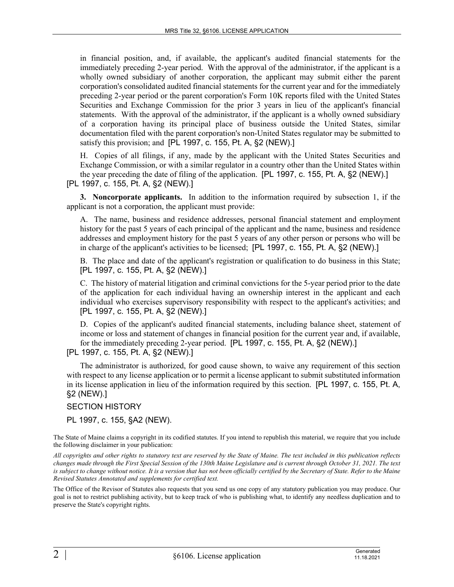in financial position, and, if available, the applicant's audited financial statements for the immediately preceding 2-year period. With the approval of the administrator, if the applicant is a wholly owned subsidiary of another corporation, the applicant may submit either the parent corporation's consolidated audited financial statements for the current year and for the immediately preceding 2-year period or the parent corporation's Form 10K reports filed with the United States Securities and Exchange Commission for the prior 3 years in lieu of the applicant's financial statements. With the approval of the administrator, if the applicant is a wholly owned subsidiary of a corporation having its principal place of business outside the United States, similar documentation filed with the parent corporation's non-United States regulator may be submitted to satisfy this provision; and [PL 1997, c. 155, Pt. A, §2 (NEW).]

H. Copies of all filings, if any, made by the applicant with the United States Securities and Exchange Commission, or with a similar regulator in a country other than the United States within the year preceding the date of filing of the application. [PL 1997, c. 155, Pt. A, §2 (NEW).] [PL 1997, c. 155, Pt. A, §2 (NEW).]

**3. Noncorporate applicants.** In addition to the information required by subsection 1, if the applicant is not a corporation, the applicant must provide:

A. The name, business and residence addresses, personal financial statement and employment history for the past 5 years of each principal of the applicant and the name, business and residence addresses and employment history for the past 5 years of any other person or persons who will be in charge of the applicant's activities to be licensed; [PL 1997, c. 155, Pt. A, §2 (NEW).]

B. The place and date of the applicant's registration or qualification to do business in this State; [PL 1997, c. 155, Pt. A, §2 (NEW).]

C. The history of material litigation and criminal convictions for the 5-year period prior to the date of the application for each individual having an ownership interest in the applicant and each individual who exercises supervisory responsibility with respect to the applicant's activities; and [PL 1997, c. 155, Pt. A, §2 (NEW).]

D. Copies of the applicant's audited financial statements, including balance sheet, statement of income or loss and statement of changes in financial position for the current year and, if available, for the immediately preceding 2-year period. [PL 1997, c. 155, Pt. A, §2 (NEW).]

[PL 1997, c. 155, Pt. A, §2 (NEW).]

The administrator is authorized, for good cause shown, to waive any requirement of this section with respect to any license application or to permit a license applicant to submit substituted information in its license application in lieu of the information required by this section. [PL 1997, c. 155, Pt. A, §2 (NEW).]

## SECTION HISTORY

PL 1997, c. 155, §A2 (NEW).

The State of Maine claims a copyright in its codified statutes. If you intend to republish this material, we require that you include the following disclaimer in your publication:

*All copyrights and other rights to statutory text are reserved by the State of Maine. The text included in this publication reflects changes made through the First Special Session of the 130th Maine Legislature and is current through October 31, 2021. The text*  is subject to change without notice. It is a version that has not been officially certified by the Secretary of State. Refer to the Maine *Revised Statutes Annotated and supplements for certified text.*

The Office of the Revisor of Statutes also requests that you send us one copy of any statutory publication you may produce. Our goal is not to restrict publishing activity, but to keep track of who is publishing what, to identify any needless duplication and to preserve the State's copyright rights.